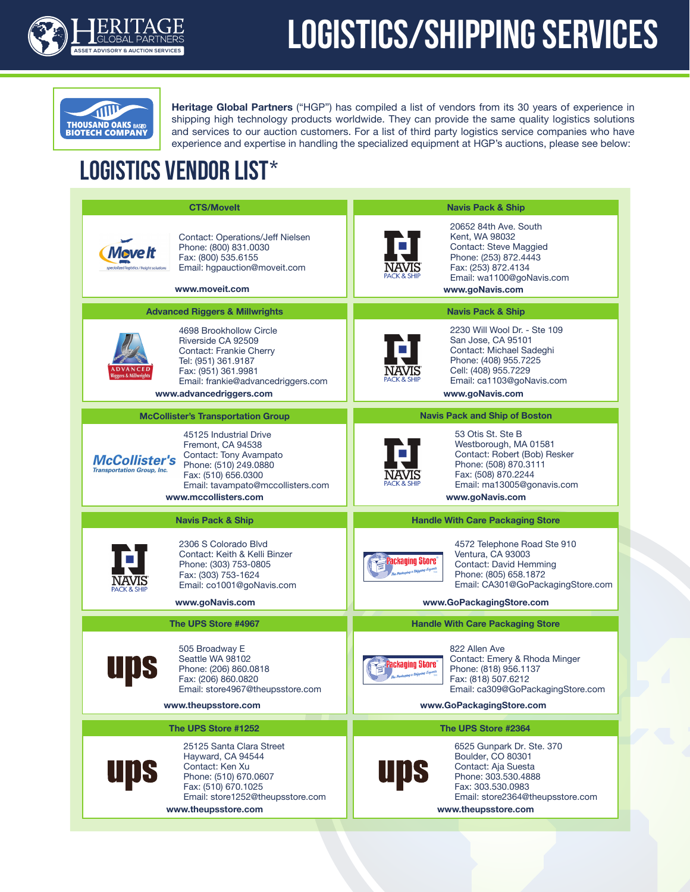

## **LOGISTICS/SHIPPING SERVICES**



**Heritage Global Partners** ("HGP") has compiled a list of vendors from its 30 years of experience in shipping high technology products worldwide. They can provide the same quality logistics solutions and services to our auction customers. For a list of third party logistics service companies who have experience and expertise in handling the specialized equipment at HGP's auctions, please see below:

## LOGISTICS VENDOR LIST\*

| <b>CTS/Movelt</b>                                                                                                                                                                                                                               | <b>Navis Pack &amp; Ship</b>                                                                                                                                                                                           |
|-------------------------------------------------------------------------------------------------------------------------------------------------------------------------------------------------------------------------------------------------|------------------------------------------------------------------------------------------------------------------------------------------------------------------------------------------------------------------------|
| <b>Contact: Operations/Jeff Nielsen</b><br>Phone: (800) 831.0030<br>Move It<br>Fax: (800) 535.6155<br>Email: hgpauction@moveit.com<br>www.moveit.com                                                                                            | 20652 84th Ave. South<br>Kent, WA 98032<br><b>Contact: Steve Maggied</b><br>Phone: (253) 872.4443<br>Fax: (253) 872.4134<br>Email: wa1100@goNavis.com<br>www.goNavis.com                                               |
| <b>Advanced Riggers &amp; Millwrights</b>                                                                                                                                                                                                       | <b>Navis Pack &amp; Ship</b>                                                                                                                                                                                           |
| 4698 Brookhollow Circle<br>Riverside CA 92509<br><b>Contact: Frankie Cherry</b><br>Tel: (951) 361.9187<br>Fax: (951) 361.9981<br>Email: frankie@advancedriggers.com<br>www.advancedriggers.com                                                  | 2230 Will Wool Dr. - Ste 109<br>San Jose, CA 95101<br>Contact: Michael Sadeghi<br>Phone: (408) 955.7225<br>Cell: (408) 955.7229<br>Email: ca1103@goNavis.com<br>www.goNavis.com                                        |
| <b>McCollister's Transportation Group</b>                                                                                                                                                                                                       | <b>Navis Pack and Ship of Boston</b>                                                                                                                                                                                   |
| 45125 Industrial Drive<br>Fremont. CA 94538<br>Contact: Tony Avampato<br><b>McCollister's</b><br>Phone: (510) 249.0880<br><b>Transportation Group, Inc.</b><br>Fax: (510) 656.0300<br>Email: tavampato@mccollisters.com<br>www.mccollisters.com | 53 Otis St. Ste B<br>Westborough, MA 01581<br>Contact: Robert (Bob) Resker<br>Phone: (508) 870.3111<br>Fax: (508) 870.2244<br>Email: ma13005@gonavis.com<br>www.goNavis.com                                            |
|                                                                                                                                                                                                                                                 |                                                                                                                                                                                                                        |
|                                                                                                                                                                                                                                                 | <b>Handle With Care Packaging Store</b>                                                                                                                                                                                |
| <b>Navis Pack &amp; Ship</b><br>2306 S Colorado Blvd<br>Contact: Keith & Kelli Binzer<br>Phone: (303) 753-0805<br>Fax: (303) 753-1624<br>Email: co1001@goNavis.com                                                                              | 4572 Telephone Road Ste 910<br>Ventura, CA 93003<br><b>Packaging Store</b><br>Contact: David Hemming<br>Phone: (805) 658.1872<br>Email: CA301@GoPackagingStore.com                                                     |
| www.goNavis.com                                                                                                                                                                                                                                 | www.GoPackagingStore.com                                                                                                                                                                                               |
| The UPS Store #4967                                                                                                                                                                                                                             | <b>Handle With Care Packaging Store</b>                                                                                                                                                                                |
| 505 Broadway E<br>Seattle WA 98102<br>Phone: (206) 860.0818<br>Fax: (206) 860.0820<br>Email: store4967@theupsstore.com<br>www.theupsstore.com                                                                                                   | 822 Allen Ave<br>Contact: Emery & Rhoda Minger<br><b>Packaging Store</b><br>Phone: (818) 956.1137<br>taning a Shipping Experts<br>Fax: (818) 507.6212<br>Email: ca309@GoPackagingStore.com<br>www.GoPackagingStore.com |
| The UPS Store #1252                                                                                                                                                                                                                             | The UPS Store #2364                                                                                                                                                                                                    |